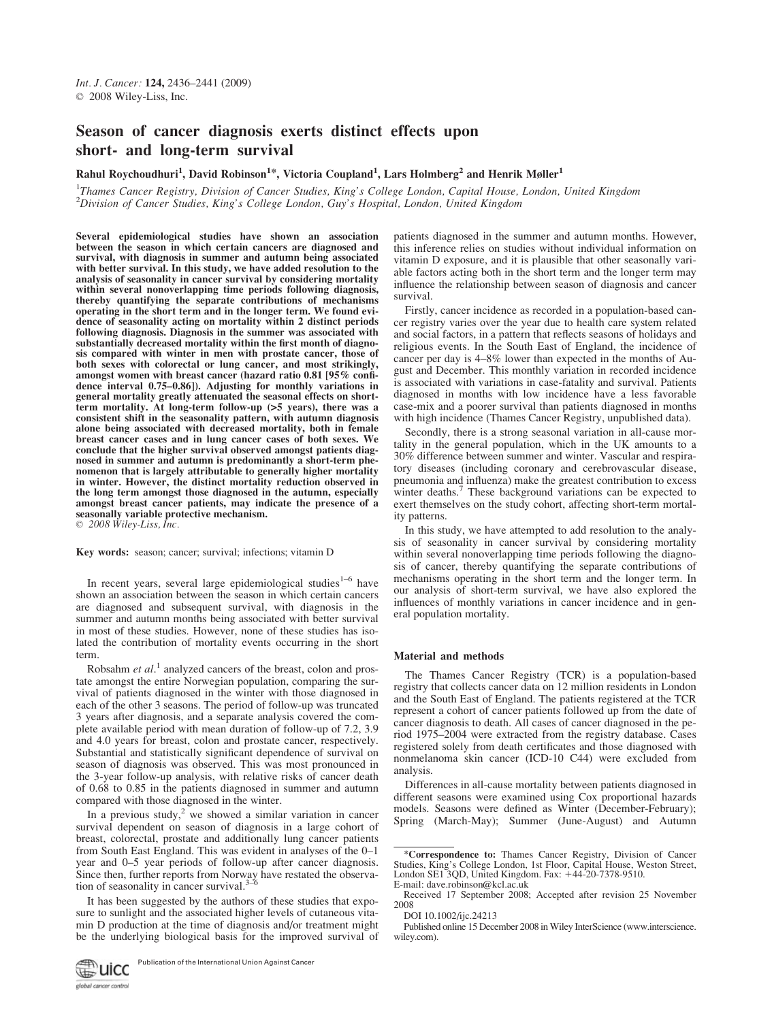# Season of cancer diagnosis exerts distinct effects upon short- and long-term survival

## Rahul Roychoudhuri<sup>1</sup>, David Robinson<sup>1\*</sup>, Victoria Coupland<sup>1</sup>, Lars Holmberg<sup>2</sup> and Henrik Møller<sup>1</sup>

<sup>1</sup>Thames Cancer Registry, Division of Cancer Studies, King's College London, Capital House, London, United Kingdom <sup>2</sup>Division of Cancer Studies, King's College London, Guy's Hospital, London, United Kingdom

Several epidemiological studies have shown an association between the season in which certain cancers are diagnosed and survival, with diagnosis in summer and autumn being associated with better survival. In this study, we have added resolution to the analysis of seasonality in cancer survival by considering mortality within several nonoverlapping time periods following diagnosis, thereby quantifying the separate contributions of mechanisms operating in the short term and in the longer term. We found evidence of seasonality acting on mortality within 2 distinct periods following diagnosis. Diagnosis in the summer was associated with substantially decreased mortality within the first month of diagnosis compared with winter in men with prostate cancer, those of both sexes with colorectal or lung cancer, and most strikingly, amongst women with breast cancer (hazard ratio 0.81 [95% confidence interval 0.75–0.86]). Adjusting for monthly variations in general mortality greatly attenuated the seasonal effects on shortterm mortality. At long-term follow-up (>5 years), there was a consistent shift in the seasonality pattern, with autumn diagnosis alone being associated with decreased mortality, both in female breast cancer cases and in lung cancer cases of both sexes. We conclude that the higher survival observed amongst patients diagnosed in summer and autumn is predominantly a short-term phenomenon that is largely attributable to generally higher mortality in winter. However, the distinct mortality reduction observed in the long term amongst those diagnosed in the autumn, especially amongst breast cancer patients, may indicate the presence of a seasonally variable protective mechanism.  $\odot$  2008 Wiley-Liss, Inc.

Key words: season; cancer; survival; infections; vitamin D

In recent years, several large epidemiological studies $1-6$  have shown an association between the season in which certain cancers are diagnosed and subsequent survival, with diagnosis in the summer and autumn months being associated with better survival in most of these studies. However, none of these studies has isolated the contribution of mortality events occurring in the short term.

Robsahm et al.<sup>1</sup> analyzed cancers of the breast, colon and prostate amongst the entire Norwegian population, comparing the survival of patients diagnosed in the winter with those diagnosed in each of the other 3 seasons. The period of follow-up was truncated 3 years after diagnosis, and a separate analysis covered the complete available period with mean duration of follow-up of 7.2, 3.9 and 4.0 years for breast, colon and prostate cancer, respectively. Substantial and statistically significant dependence of survival on season of diagnosis was observed. This was most pronounced in the 3-year follow-up analysis, with relative risks of cancer death of 0.68 to 0.85 in the patients diagnosed in summer and autumn compared with those diagnosed in the winter.

In a previous study, $2$  we showed a similar variation in cancer survival dependent on season of diagnosis in a large cohort of breast, colorectal, prostate and additionally lung cancer patients from South East England. This was evident in analyses of the 0–1 year and 0–5 year periods of follow-up after cancer diagnosis. Since then, further reports from Norway have restated the observation of seasonality in cancer survival.<sup>3</sup>

It has been suggested by the authors of these studies that exposure to sunlight and the associated higher levels of cutaneous vitamin D production at the time of diagnosis and/or treatment might be the underlying biological basis for the improved survival of patients diagnosed in the summer and autumn months. However, this inference relies on studies without individual information on vitamin D exposure, and it is plausible that other seasonally variable factors acting both in the short term and the longer term may influence the relationship between season of diagnosis and cancer survival.

Firstly, cancer incidence as recorded in a population-based cancer registry varies over the year due to health care system related and social factors, in a pattern that reflects seasons of holidays and religious events. In the South East of England, the incidence of cancer per day is 4–8% lower than expected in the months of August and December. This monthly variation in recorded incidence is associated with variations in case-fatality and survival. Patients diagnosed in months with low incidence have a less favorable case-mix and a poorer survival than patients diagnosed in months with high incidence (Thames Cancer Registry, unpublished data).

Secondly, there is a strong seasonal variation in all-cause mortality in the general population, which in the UK amounts to a 30% difference between summer and winter. Vascular and respiratory diseases (including coronary and cerebrovascular disease, pneumonia and influenza) make the greatest contribution to excess winter deaths.<sup>7</sup> These background variations can be expected to exert themselves on the study cohort, affecting short-term mortality patterns.

In this study, we have attempted to add resolution to the analysis of seasonality in cancer survival by considering mortality within several nonoverlapping time periods following the diagnosis of cancer, thereby quantifying the separate contributions of mechanisms operating in the short term and the longer term. In our analysis of short-term survival, we have also explored the influences of monthly variations in cancer incidence and in general population mortality.

#### Material and methods

The Thames Cancer Registry (TCR) is a population-based registry that collects cancer data on 12 million residents in London and the South East of England. The patients registered at the TCR represent a cohort of cancer patients followed up from the date of cancer diagnosis to death. All cases of cancer diagnosed in the period 1975–2004 were extracted from the registry database. Cases registered solely from death certificates and those diagnosed with nonmelanoma skin cancer (ICD-10 C44) were excluded from analysis.

Differences in all-cause mortality between patients diagnosed in different seasons were examined using Cox proportional hazards models. Seasons were defined as Winter (December-February); Spring (March-May); Summer (June-August) and Autumn

<sup>\*</sup>Correspondence to: Thames Cancer Registry, Division of Cancer Studies, King's College London, 1st Floor, Capital House, Weston Street, London SE1 3QD, United Kingdom. Fax: +44-20-7378-9510. E-mail: dave.robinson@kcl.ac.uk

Received 17 September 2008; Accepted after revision 25 November 2008

DOI 10.1002/ijc.24213

Published online 15 December 2008 in Wiley InterScience (www.interscience. wiley.com).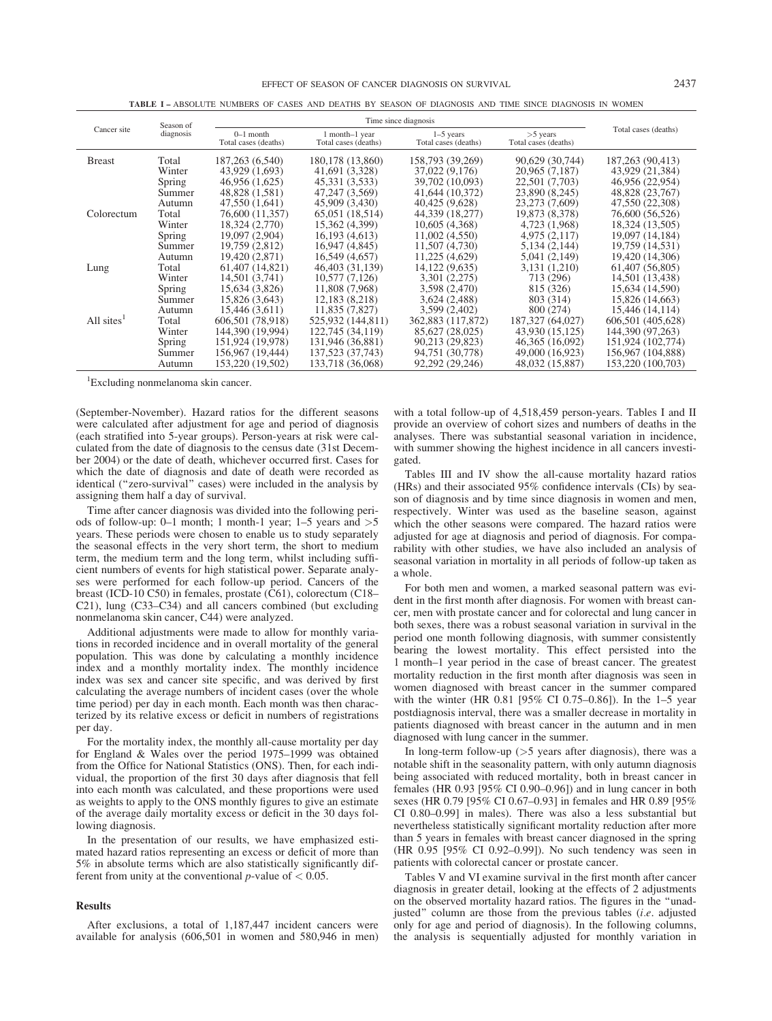TABLE I - ABSOLUTE NUMBERS OF CASES AND DEATHS BY SEASON OF DIAGNOSIS AND TIME SINCE DIAGNOSIS IN WOMEN

|                        | Season of |                                     |                                        |                                     |                                    |                      |
|------------------------|-----------|-------------------------------------|----------------------------------------|-------------------------------------|------------------------------------|----------------------|
| Cancer site            | diagnosis | $0-1$ month<br>Total cases (deaths) | 1 month-1 year<br>Total cases (deaths) | $1-5$ years<br>Total cases (deaths) | $>5$ years<br>Total cases (deaths) | Total cases (deaths) |
| <b>Breast</b>          | Total     | 187, 263 (6, 540)                   | 180, 178 (13, 860)                     | 158,793 (39,269)                    | 90,629 (30,744)                    | 187,263 (90,413)     |
|                        | Winter    | 43,929 (1,693)                      | 41,691 (3,328)                         | 37,022 (9,176)                      | 20,965 (7,187)                     | 43,929 (21,384)      |
|                        | Spring    | 46,956 (1,625)                      | 45,331 (3,533)                         | 39,702 (10,093)                     | 22,501 (7,703)                     | 46,956 (22,954)      |
|                        | Summer    | 48,828 (1,581)                      | 47,247 (3,569)                         | 41,644 (10,372)                     | 23,890 (8,245)                     | 48,828 (23,767)      |
|                        | Autumn    | 47,550 (1,641)                      | 45,909 (3,430)                         | 40,425 (9,628)                      | 23,273 (7,609)                     | 47,550 (22,308)      |
| Colorectum             | Total     | 76,600 (11,357)                     | 65,051 (18,514)                        | 44,339 (18,277)                     | 19,873 (8,378)                     | 76,600 (56,526)      |
|                        | Winter    | 18,324 (2,770)                      | 15,362 (4,399)                         | 10,605(4,368)                       | 4,723 (1,968)                      | 18,324 (13,505)      |
|                        | Spring    | 19,097 (2,904)                      | 16,193(4,613)                          | 11,002(4,550)                       | 4,975(2,117)                       | 19,097 (14,184)      |
|                        | Summer    | 19,759 (2,812)                      | 16,947 (4,845)                         | 11,507 (4,730)                      | 5,134 (2,144)                      | 19,759 (14,531)      |
|                        | Autumn    | 19.420 (2.871)                      | 16,549 (4,657)                         | 11,225 (4,629)                      | 5,041 (2,149)                      | 19,420 (14,306)      |
| Lung                   | Total     | 61,407 (14,821)                     | 46,403 (31,139)                        | 14,122 (9,635)                      | 3,131 (1,210)                      | 61,407 (56,805)      |
|                        | Winter    | 14,501 (3,741)                      | 10,577(7,126)                          | 3,301 (2,275)                       | 713 (296)                          | 14,501 (13,438)      |
|                        | Spring    | 15,634 (3,826)                      | 11,808 (7,968)                         | 3,598 (2,470)                       | 815 (326)                          | 15,634 (14,590)      |
|                        | Summer    | 15,826 (3,643)                      | 12,183 (8,218)                         | 3,624 (2,488)                       | 803 (314)                          | 15,826 (14,663)      |
|                        | Autumn    | 15,446 (3,611)                      | 11,835 (7,827)                         | 3,599 (2,402)                       | 800 (274)                          | 15,446 (14,114)      |
| All sites <sup>1</sup> | Total     | 606,501 (78,918)                    | 525,932 (144,811)                      | 362,883 (117,872)                   | 187, 327 (64, 027)                 | 606,501 (405,628)    |
|                        | Winter    | 144,390 (19,994)                    | 122,745 (34,119)                       | 85,627 (28,025)                     | 43,930 (15,125)                    | 144,390 (97,263)     |
|                        | Spring    | 151,924 (19,978)                    | 131,946 (36,881)                       | 90,213 (29,823)                     | 46, 365 (16, 092)                  | 151,924 (102,774)    |
|                        | Summer    | 156,967 (19,444)                    | 137,523 (37,743)                       | 94,751 (30,778)                     | 49,000 (16,923)                    | 156,967 (104,888)    |
|                        | Autumn    | 153,220 (19.502)                    | 133,718 (36,068)                       | 92,292 (29,246)                     | 48,032 (15,887)                    | 153,220 (100,703)    |

1 Excluding nonmelanoma skin cancer.

(September-November). Hazard ratios for the different seasons were calculated after adjustment for age and period of diagnosis (each stratified into 5-year groups). Person-years at risk were calculated from the date of diagnosis to the census date (31st December 2004) or the date of death, whichever occurred first. Cases for which the date of diagnosis and date of death were recorded as identical (''zero-survival'' cases) were included in the analysis by assigning them half a day of survival.

Time after cancer diagnosis was divided into the following periods of follow-up: 0–1 month; 1 month-1 year; 1–5 years and  $>5$ years. These periods were chosen to enable us to study separately the seasonal effects in the very short term, the short to medium term, the medium term and the long term, whilst including sufficient numbers of events for high statistical power. Separate analyses were performed for each follow-up period. Cancers of the breast (ICD-10 C50) in females, prostate (C61), colorectum (C18– C21), lung (C33–C34) and all cancers combined (but excluding nonmelanoma skin cancer, C44) were analyzed.

Additional adjustments were made to allow for monthly variations in recorded incidence and in overall mortality of the general population. This was done by calculating a monthly incidence index and a monthly mortality index. The monthly incidence index was sex and cancer site specific, and was derived by first calculating the average numbers of incident cases (over the whole time period) per day in each month. Each month was then characterized by its relative excess or deficit in numbers of registrations per day.

For the mortality index, the monthly all-cause mortality per day for England & Wales over the period 1975–1999 was obtained from the Office for National Statistics (ONS). Then, for each individual, the proportion of the first 30 days after diagnosis that fell into each month was calculated, and these proportions were used as weights to apply to the ONS monthly figures to give an estimate of the average daily mortality excess or deficit in the 30 days following diagnosis.

In the presentation of our results, we have emphasized estimated hazard ratios representing an excess or deficit of more than 5% in absolute terms which are also statistically significantly different from unity at the conventional *p*-value of  $\lt$  0.05.

#### Results

After exclusions, a total of 1,187,447 incident cancers were available for analysis (606,501 in women and 580,946 in men) with a total follow-up of 4,518,459 person-years. Tables I and II provide an overview of cohort sizes and numbers of deaths in the analyses. There was substantial seasonal variation in incidence, with summer showing the highest incidence in all cancers investigated.

Tables III and IV show the all-cause mortality hazard ratios (HRs) and their associated 95% confidence intervals (CIs) by season of diagnosis and by time since diagnosis in women and men, respectively. Winter was used as the baseline season, against which the other seasons were compared. The hazard ratios were adjusted for age at diagnosis and period of diagnosis. For comparability with other studies, we have also included an analysis of seasonal variation in mortality in all periods of follow-up taken as a whole.

For both men and women, a marked seasonal pattern was evident in the first month after diagnosis. For women with breast cancer, men with prostate cancer and for colorectal and lung cancer in both sexes, there was a robust seasonal variation in survival in the period one month following diagnosis, with summer consistently bearing the lowest mortality. This effect persisted into the 1 month–1 year period in the case of breast cancer. The greatest mortality reduction in the first month after diagnosis was seen in women diagnosed with breast cancer in the summer compared with the winter (HR 0.81 [95% CI 0.75–0.86]). In the 1–5 year postdiagnosis interval, there was a smaller decrease in mortality in patients diagnosed with breast cancer in the autumn and in men diagnosed with lung cancer in the summer.

In long-term follow-up  $(55 \text{ years after diagnosis})$ , there was a notable shift in the seasonality pattern, with only autumn diagnosis being associated with reduced mortality, both in breast cancer in females (HR 0.93 [95% CI 0.90–0.96]) and in lung cancer in both sexes (HR 0.79 [95% CI 0.67–0.93] in females and HR 0.89 [95% CI 0.80–0.99] in males). There was also a less substantial but nevertheless statistically significant mortality reduction after more than 5 years in females with breast cancer diagnosed in the spring (HR 0.95 [95% CI 0.92–0.99]). No such tendency was seen in patients with colorectal cancer or prostate cancer.

Tables V and VI examine survival in the first month after cancer diagnosis in greater detail, looking at the effects of 2 adjustments on the observed mortality hazard ratios. The figures in the ''unadjusted'' column are those from the previous tables (i.e. adjusted only for age and period of diagnosis). In the following columns, the analysis is sequentially adjusted for monthly variation in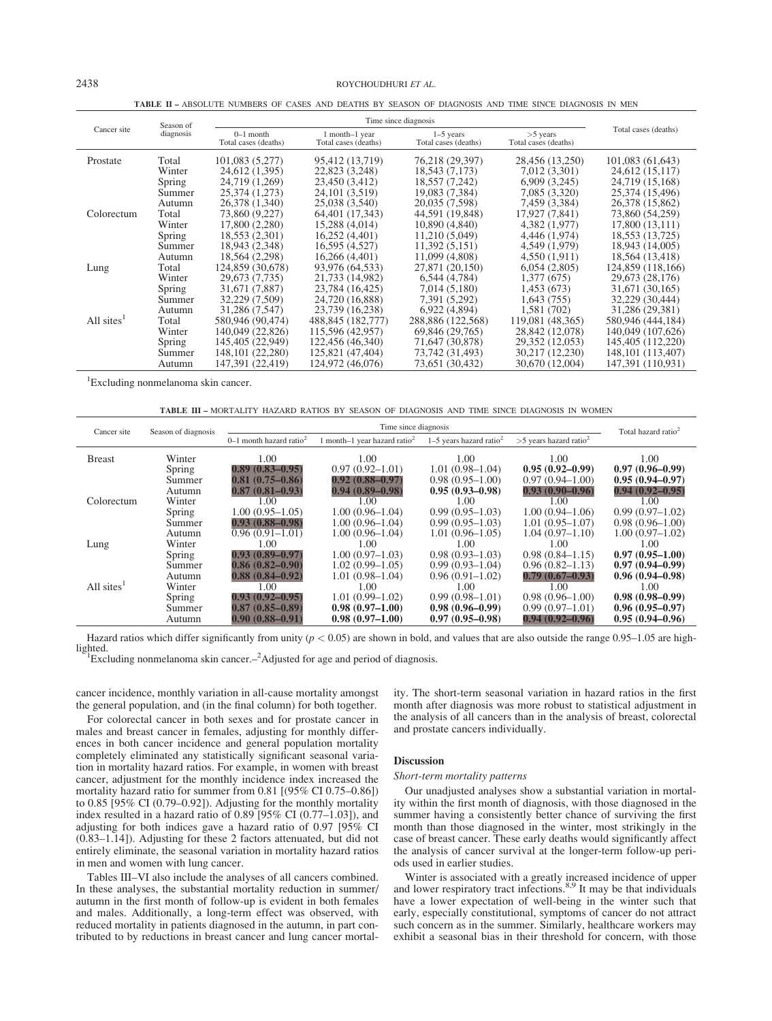TABLE II – ABSOLUTE NUMBERS OF CASES AND DEATHS BY SEASON OF DIAGNOSIS AND TIME SINCE DIAGNOSIS IN MEN

|                        | Season of |                                     |                                        |                                     |                                    |                      |  |
|------------------------|-----------|-------------------------------------|----------------------------------------|-------------------------------------|------------------------------------|----------------------|--|
| Cancer site            | diagnosis | $0-1$ month<br>Total cases (deaths) | 1 month-1 year<br>Total cases (deaths) | $1-5$ years<br>Total cases (deaths) | $>5$ years<br>Total cases (deaths) | Total cases (deaths) |  |
| Prostate               | Total     | 101,083 (5,277)                     | 95,412 (13,719)                        | 76,218 (29,397)                     | 28,456 (13,250)                    | 101,083 (61,643)     |  |
|                        | Winter    | 24,612 (1,395)                      | 22,823 (3,248)                         | 18,543 (7,173)                      | 7,012 (3,301)                      | 24,612 (15,117)      |  |
|                        | Spring    | 24,719 (1,269)                      | 23,450 (3,412)                         | 18,557 (7,242)                      | 6,909(3,245)                       | 24,719 (15,168)      |  |
|                        | Summer    | 25,374 (1,273)                      | 24, 101 (3, 519)                       | 19,083 (7,384)                      | 7,085 (3,320)                      | 25,374 (15,496)      |  |
|                        | Autumn    | 26,378 (1,340)                      | 25,038 (3,540)                         | 20,035 (7,598)                      | 7,459 (3,384)                      | 26,378 (15,862)      |  |
| Colorectum             | Total     | 73,860 (9,227)                      | 64,401 (17,343)                        | 44,591 (19,848)                     | 17,927 (7,841)                     | 73,860 (54,259)      |  |
|                        | Winter    | 17,800 (2,280)                      | 15,288 (4,014)                         | 10,890 (4,840)                      | 4,382 (1,977)                      | 17,800 (13,111)      |  |
|                        | Spring    | 18,553 (2,301)                      | 16.252 (4.401)                         | 11.210 (5.049)                      | 4.446 (1.974)                      | 18,553 (13,725)      |  |
|                        | Summer    | 18,943 (2,348)                      | 16,595 (4,527)                         | 11,392(5,151)                       | 4,549 (1,979)                      | 18,943 (14,005)      |  |
|                        | Autumn    | 18,564 (2,298)                      | 16,266 (4,401)                         | 11,099 (4,808)                      | 4,550 (1,911)                      | 18,564 (13,418)      |  |
| Lung                   | Total     | 124,859 (30,678)                    | 93,976 (64,533)                        | 27,871 (20,150)                     | 6,054(2,805)                       | 124,859 (118,166)    |  |
|                        | Winter    | 29,673 (7,735)                      | 21,733 (14,982)                        | 6,544(4,784)                        | 1,377(675)                         | 29,673 (28,176)      |  |
|                        | Spring    | 31,671 (7,887)                      | 23,784 (16,425)                        | 7,014 (5,180)                       | 1,453 (673)                        | 31,671 (30,165)      |  |
|                        | Summer    | 32,229 (7,509)                      | 24,720 (16,888)                        | 7,391 (5,292)                       | 1,643(755)                         | 32,229 (30,444)      |  |
|                        | Autumn    | 31,286 (7,547)                      | 23,739 (16,238)                        | 6,922(4,894)                        | 1,581 (702)                        | 31,286 (29,381)      |  |
| All sites <sup>1</sup> | Total     | 580,946 (90,474)                    | 488,845 (182,777)                      | 288,886 (122,568)                   | 119,081 (48,365)                   | 580,946 (444,184)    |  |
|                        | Winter    | 140,049 (22,826)                    | 115,596 (42,957)                       | 69,846 (29,765)                     | 28,842 (12,078)                    | 140,049 (107,626)    |  |
|                        | Spring    | 145,405 (22,949)                    | 122,456 (46,340)                       | 71,647 (30,878)                     | 29,352 (12,053)                    | 145,405 (112,220)    |  |
|                        | Summer    | 148, 101 (22, 280)                  | 125,821 (47,404)                       | 73,742 (31,493)                     | 30,217 (12,230)                    | 148, 101 (113, 407)  |  |
|                        | Autumn    | 147,391 (22,419)                    | 124,972 (46,076)                       | 73,651 (30,432)                     | 30,670 (12,004)                    | 147,391 (110,931)    |  |

1 Excluding nonmelanoma skin cancer.

| <b>TABLE III – MORTALITY HAZARD RATIOS BY SEASON OF DIAGNOSIS AND TIME SINCE DIAGNOSIS IN WOMEN</b> |  |  |  |  |  |  |  |  |  |  |  |  |  |  |
|-----------------------------------------------------------------------------------------------------|--|--|--|--|--|--|--|--|--|--|--|--|--|--|
|-----------------------------------------------------------------------------------------------------|--|--|--|--|--|--|--|--|--|--|--|--|--|--|

| Cancer site            | Season of diagnosis |                                       | Total hazard ratio <sup>2</sup> |                                       |                                       |                     |
|------------------------|---------------------|---------------------------------------|---------------------------------|---------------------------------------|---------------------------------------|---------------------|
|                        |                     | $0-1$ month hazard ratio <sup>2</sup> | 1 month-1 year hazard ratio $2$ | $1-5$ vears hazard ratio <sup>2</sup> | $>$ 5 years hazard ratio <sup>2</sup> |                     |
| <b>Breast</b>          | Winter              | 1.00                                  | 1.00                            | 1.00                                  | 1.00                                  | 1.00                |
|                        | <b>Spring</b>       | $0.89(0.83 - 0.95)$                   | $0.97(0.92 - 1.01)$             | $1.01(0.98 - 1.04)$                   | $0.95(0.92 - 0.99)$                   | $0.97(0.96 - 0.99)$ |
|                        | Summer              | $0.81(0.75 - 0.86)$                   | $0.92(0.88 - 0.97)$             | $0.98(0.95-1.00)$                     | $0.97(0.94 - 1.00)$                   | $0.95(0.94 - 0.97)$ |
|                        | Autumn              | $0.87(0.81 - 0.93)$                   | $0.94(0.89 - 0.98)$             | $0.95(0.93 - 0.98)$                   | $0.93(0.90 - 0.96)$                   | $0.94(0.92 - 0.95)$ |
| Colorectum             | Winter              | 1.00                                  | 1.00                            | 1.00                                  | 1.00                                  | 1.00                |
|                        | Spring              | $1.00(0.95-1.05)$                     | $1.00(0.96 - 1.04)$             | $0.99(0.95-1.03)$                     | $1.00(0.94 - 1.06)$                   | $0.99(0.97-1.02)$   |
|                        | Summer              | $0.93(0.88 - 0.98)$                   | $1.00(0.96-1.04)$               | $0.99(0.95-1.03)$                     | $1.01(0.95-1.07)$                     | $0.98(0.96 - 1.00)$ |
|                        | Autumn              | $0.96(0.91-1.01)$                     | $1.00(0.96 - 1.04)$             | $1.01(0.96 - 1.05)$                   | $1.04(0.97-1.10)$                     | $1.00(0.97-1.02)$   |
| Lung                   | Winter              | 1.00                                  | 1.00                            | 1.00                                  | 1.00                                  | 1.00                |
|                        | Spring              | $0.93(0.89 - 0.97)$                   | $1.00(0.97-1.03)$               | $0.98(0.93 - 1.03)$                   | $0.98(0.84 - 1.15)$                   | $0.97(0.95 - 1.00)$ |
|                        | Summer              | $0.86(0.82 - 0.90)$                   | $1.02(0.99 - 1.05)$             | $0.99(0.93 - 1.04)$                   | $0.96(0.82 - 1.13)$                   | $0.97(0.94 - 0.99)$ |
|                        | Autumn              | $0.88(0.84 - 0.92)$                   | $1.01(0.98 - 1.04)$             | $0.96(0.91-1.02)$                     | $0.79(0.67 - 0.93)$                   | $0.96(0.94 - 0.98)$ |
| All sites <sup>1</sup> | Winter              | 1.00                                  | 1.00                            | 1.00                                  | 1.00                                  | 1.00                |
|                        | Spring              | $0.93(0.92 - 0.95)$                   | $1.01(0.99 - 1.02)$             | $0.99(0.98-1.01)$                     | $0.98(0.96-1.00)$                     | $0.98(0.98 - 0.99)$ |
|                        | Summer              | $0.87(0.85 - 0.89)$                   | $0.98(0.97-1.00)$               | $0.98(0.96 - 0.99)$                   | $0.99(0.97-1.01)$                     | $0.96(0.95 - 0.97)$ |
|                        | Autumn              | $0.90(0.88 - 0.91)$                   | $0.98(0.97 - 1.00)$             | $0.97(0.95 - 0.98)$                   | $0.94(0.92 - 0.96)$                   | $0.95(0.94 - 0.96)$ |

Hazard ratios which differ significantly from unity ( $p < 0.05$ ) are shown in bold, and values that are also outside the range 0.95–1.05 are highlighted.

Excluding nonmelanoma skin cancer. $-$ <sup>2</sup>Adjusted for age and period of diagnosis.

cancer incidence, monthly variation in all-cause mortality amongst the general population, and (in the final column) for both together.

For colorectal cancer in both sexes and for prostate cancer in males and breast cancer in females, adjusting for monthly differences in both cancer incidence and general population mortality completely eliminated any statistically significant seasonal variation in mortality hazard ratios. For example, in women with breast cancer, adjustment for the monthly incidence index increased the mortality hazard ratio for summer from 0.81 [(95% CI 0.75–0.86]) to 0.85 [95% CI (0.79–0.92]). Adjusting for the monthly mortality index resulted in a hazard ratio of 0.89 [95% CI (0.77–1.03]), and adjusting for both indices gave a hazard ratio of 0.97 [95% CI (0.83–1.14]). Adjusting for these 2 factors attenuated, but did not entirely eliminate, the seasonal variation in mortality hazard ratios in men and women with lung cancer.

Tables III–VI also include the analyses of all cancers combined. In these analyses, the substantial mortality reduction in summer/ autumn in the first month of follow-up is evident in both females and males. Additionally, a long-term effect was observed, with reduced mortality in patients diagnosed in the autumn, in part contributed to by reductions in breast cancer and lung cancer mortality. The short-term seasonal variation in hazard ratios in the first month after diagnosis was more robust to statistical adjustment in the analysis of all cancers than in the analysis of breast, colorectal and prostate cancers individually.

#### Discussion

## Short-term mortality patterns

Our unadjusted analyses show a substantial variation in mortality within the first month of diagnosis, with those diagnosed in the summer having a consistently better chance of surviving the first month than those diagnosed in the winter, most strikingly in the case of breast cancer. These early deaths would significantly affect the analysis of cancer survival at the longer-term follow-up periods used in earlier studies.

Winter is associated with a greatly increased incidence of upper and lower respiratory tract infections.<sup>8,9</sup> It may be that individuals have a lower expectation of well-being in the winter such that early, especially constitutional, symptoms of cancer do not attract such concern as in the summer. Similarly, healthcare workers may exhibit a seasonal bias in their threshold for concern, with those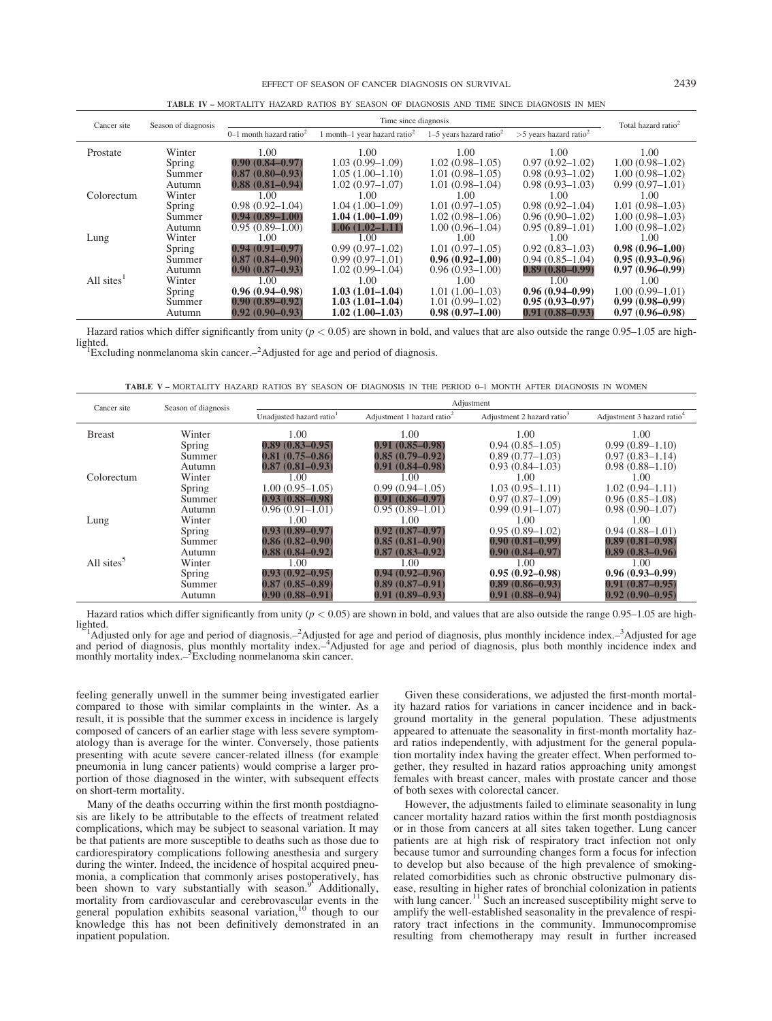### EFFECT OF SEASON OF CANCER DIAGNOSIS ON SURVIVAL 2439

| TABLE IV – MORTALITY HAZARD RATIOS BY SEASON OF DIAGNOSIS AND TIME SINCE DIAGNOSIS IN MEN |  |  |  |
|-------------------------------------------------------------------------------------------|--|--|--|
|                                                                                           |  |  |  |

| Cancer site            | Season of diagnosis |                                       | Total hazard ratio <sup>2</sup>          |                                       |                                       |                     |
|------------------------|---------------------|---------------------------------------|------------------------------------------|---------------------------------------|---------------------------------------|---------------------|
|                        |                     | $0-1$ month hazard ratio <sup>2</sup> | 1 month-1 year hazard ratio <sup>2</sup> | $1-5$ years hazard ratio <sup>2</sup> | $>$ 5 years hazard ratio <sup>2</sup> |                     |
| Prostate               | Winter              | 1.00                                  | 1.00                                     | 1.00                                  | 1.00                                  | 1.00                |
|                        | Spring              | $0.90(0.84 - 0.97)$                   | $1.03(0.99-1.09)$                        | $1.02(0.98 - 1.05)$                   | $0.97(0.92 - 1.02)$                   | $1.00(0.98 - 1.02)$ |
|                        | Summer              | $0.87(0.80 - 0.93)$                   | $1.05(1.00-1.10)$                        | $1.01(0.98 - 1.05)$                   | $0.98(0.93 - 1.02)$                   | $1.00(0.98 - 1.02)$ |
|                        | Autumn              | $0.88(0.81 - 0.94)$                   | $1.02(0.97-1.07)$                        | $1.01(0.98 - 1.04)$                   | $0.98(0.93 - 1.03)$                   | $0.99(0.97-1.01)$   |
| Colorectum             | Winter              | 1.00                                  | 1.00                                     | 1.00                                  | 1.00                                  | 1.00                |
|                        | Spring              | $0.98(0.92 - 1.04)$                   | $1.04(1.00-1.09)$                        | $1.01(0.97-1.05)$                     | $0.98(0.92 - 1.04)$                   | $1.01(0.98-1.03)$   |
|                        | Summer              | $0.94(0.89 - 1.00)$                   | $1.04(1.00-1.09)$                        | $1.02(0.98-1.06)$                     | $0.96(0.90-1.02)$                     | $1.00(0.98 - 1.03)$ |
|                        | Autumn              | $0.95(0.89 - 1.00)$                   | $1.06(1.02 - 1.11)$                      | $1.00(0.96 - 1.04)$                   | $0.95(0.89-1.01)$                     | $1.00(0.98 - 1.02)$ |
| Lung                   | Winter              | 1.00                                  | 1.00                                     | 1.00                                  | 1.00                                  | 1.00                |
|                        | Spring              | $0.94(0.91 - 0.97)$                   | $0.99(0.97-1.02)$                        | $1.01(0.97-1.05)$                     | $0.92(0.83 - 1.03)$                   | $0.98(0.96 - 1.00)$ |
|                        | Summer              | $0.87(0.84 - 0.90)$                   | $0.99(0.97-1.01)$                        | $0.96(0.92 - 1.00)$                   | $0.94(0.85-1.04)$                     | $0.95(0.93 - 0.96)$ |
|                        | Autumn              | $0.90(0.87 - 0.93)$                   | $1.02(0.99-1.04)$                        | $0.96(0.93 - 1.00)$                   | $0.89(0.80 - 0.99)$                   | $0.97(0.96 - 0.99)$ |
| All sites <sup>1</sup> | Winter              | 1.00                                  | 1.00                                     | 1.00                                  | 1.00                                  | 1.00                |
|                        | Spring              | $0.96(0.94 - 0.98)$                   | $1.03(1.01-1.04)$                        | $1.01(1.00-1.03)$                     | $0.96(0.94 - 0.99)$                   | $1.00(0.99 - 1.01)$ |
|                        | Summer              | $0.90(0.89 - 0.92)$                   | $1.03(1.01 - 1.04)$                      | $1.01(0.99 - 1.02)$                   | $0.95(0.93 - 0.97)$                   | $0.99(0.98 - 0.99)$ |
|                        | Autumn              | $0.92(0.90 - 0.93)$                   | $1.02(1.00-1.03)$                        | $0.98(0.97-1.00)$                     | $0.91(0.88 - 0.93)$                   | $0.97(0.96 - 0.98)$ |

Hazard ratios which differ significantly from unity ( $p < 0.05$ ) are shown in bold, and values that are also outside the range 0.95–1.05 are highlighted.

Excluding nonmelanoma skin cancer.<sup>2</sup>Adjusted for age and period of diagnosis.

TABLE V – MORTALITY HAZARD RATIOS BY SEASON OF DIAGNOSIS IN THE PERIOD 0–1 MONTH AFTER DIAGNOSIS IN WOMEN

| Cancer site   | Season of diagnosis | Adjustment                           |                                        |                                        |                                        |  |  |  |
|---------------|---------------------|--------------------------------------|----------------------------------------|----------------------------------------|----------------------------------------|--|--|--|
|               |                     | Unadjusted hazard ratio <sup>1</sup> | Adjustment 1 hazard ratio <sup>2</sup> | Adjustment 2 hazard ratio <sup>3</sup> | Adjustment 3 hazard ratio <sup>4</sup> |  |  |  |
| <b>Breast</b> | Winter              | 1.00                                 | 1.00                                   | 1.00                                   | 1.00                                   |  |  |  |
|               | Spring              | $0.89(0.83 - 0.95)$                  | $0.91(0.85 - 0.98)$                    | $0.94(0.85-1.05)$                      | $0.99(0.89 - 1.10)$                    |  |  |  |
|               | Summer              | $0.81(0.75-0.86)$                    | $0.85(0.79 - 0.92)$                    | $0.89(0.77-1.03)$                      | $0.97(0.83 - 1.14)$                    |  |  |  |
|               | Autumn              | $0.87(0.81 - 0.93)$                  | $0.91(0.84 - 0.98)$                    | $0.93(0.84 - 1.03)$                    | $0.98(0.88 - 1.10)$                    |  |  |  |
| Colorectum    | Winter              | 1.00                                 | 1.00                                   | 1.00                                   | 1.00                                   |  |  |  |
|               | Spring              | $1.00(0.95 - 1.05)$                  | $0.99(0.94 - 1.05)$                    | $1.03(0.95 - 1.11)$                    | $1.02(0.94 - 1.11)$                    |  |  |  |
|               | Summer              | $0.93(0.88 - 0.98)$                  | $0.91(0.86 - 0.97)$                    | $0.97(0.87-1.09)$                      | $0.96(0.85-1.08)$                      |  |  |  |
|               | Autumn              | $0.96(0.91-1.01)$                    | $0.95(0.89 - 1.01)$                    | $0.99(0.91 - 1.07)$                    | $0.98(0.90 - 1.07)$                    |  |  |  |
| Lung          | Winter              | 1.00                                 | 1.00                                   | 1.00                                   | 1.00                                   |  |  |  |
|               | Spring              | $0.93(0.89 - 0.97)$                  | $0.92(0.87 - 0.97)$                    | $0.95(0.89-1.02)$                      | $0.94(0.88 - 1.01)$                    |  |  |  |
|               | Summer              | $0.86(0.82 - 0.90)$                  | $0.85(0.81 - 0.90)$                    | $0.90\ (0.81\text{--}0.99)$            | $0.89\ (0.81\text{--}0.98)$            |  |  |  |
|               | Autumn              | $0.88(0.84 - 0.92)$                  | $0.87(0.83 - 0.92)$                    | $0.90\ (0.84\hbox{--}0.97)$            | $0.89(0.83 - 0.96)$                    |  |  |  |
| All sites $5$ | Winter              | 1.00                                 | 1.00                                   | 1.00                                   | 1.00                                   |  |  |  |
|               | Spring              | $0.93(0.92 - 0.95)$                  | $0.94(0.92 - 0.96)$                    | $0.95(0.92 - 0.98)$                    | $0.96(0.93 - 0.99)$                    |  |  |  |
|               | Summer              | $0.87(0.85 - 0.89)$                  | $0.89(0.87 - 0.91)$                    | $0.89(0.86 - 0.93)$                    | $0.91(0.87 - 0.95)$                    |  |  |  |
|               | Autumn              | $0.90(0.88 - 0.91)$                  | $0.91(0.89 - 0.93)$                    | $0.91(0.88 - 0.94)$                    | $0.92(0.90 - 0.95)$                    |  |  |  |

Hazard ratios which differ significantly from unity ( $p < 0.05$ ) are shown in bold, and values that are also outside the range 0.95–1.05 are highlighted.

"Adjusted only for age and period of diagnosis.<sup>-2</sup>Adjusted for age and period of diagnosis, plus monthly incidence index.<sup>-3</sup>Adjusted for age and period of diagnosis, plus hoth monthly incidence index and period of diagno

feeling generally unwell in the summer being investigated earlier compared to those with similar complaints in the winter. As a result, it is possible that the summer excess in incidence is largely composed of cancers of an earlier stage with less severe symptomatology than is average for the winter. Conversely, those patients presenting with acute severe cancer-related illness (for example pneumonia in lung cancer patients) would comprise a larger proportion of those diagnosed in the winter, with subsequent effects on short-term mortality.

Many of the deaths occurring within the first month postdiagnosis are likely to be attributable to the effects of treatment related complications, which may be subject to seasonal variation. It may be that patients are more susceptible to deaths such as those due to cardiorespiratory complications following anesthesia and surgery during the winter. Indeed, the incidence of hospital acquired pneumonia, a complication that commonly arises postoperatively, has been shown to vary substantially with season.<sup>9</sup> Additionally, mortality from cardiovascular and cerebrovascular events in the general population exhibits seasonal variation,<sup>10</sup> though to our knowledge this has not been definitively demonstrated in an inpatient population.

Given these considerations, we adjusted the first-month mortality hazard ratios for variations in cancer incidence and in background mortality in the general population. These adjustments appeared to attenuate the seasonality in first-month mortality hazard ratios independently, with adjustment for the general population mortality index having the greater effect. When performed together, they resulted in hazard ratios approaching unity amongst females with breast cancer, males with prostate cancer and those of both sexes with colorectal cancer.

However, the adjustments failed to eliminate seasonality in lung cancer mortality hazard ratios within the first month postdiagnosis or in those from cancers at all sites taken together. Lung cancer patients are at high risk of respiratory tract infection not only because tumor and surrounding changes form a focus for infection to develop but also because of the high prevalence of smokingrelated comorbidities such as chronic obstructive pulmonary disease, resulting in higher rates of bronchial colonization in patients with lung cancer.<sup>11</sup> Such an increased susceptibility might serve to amplify the well-established seasonality in the prevalence of respiratory tract infections in the community. Immunocompromise resulting from chemotherapy may result in further increased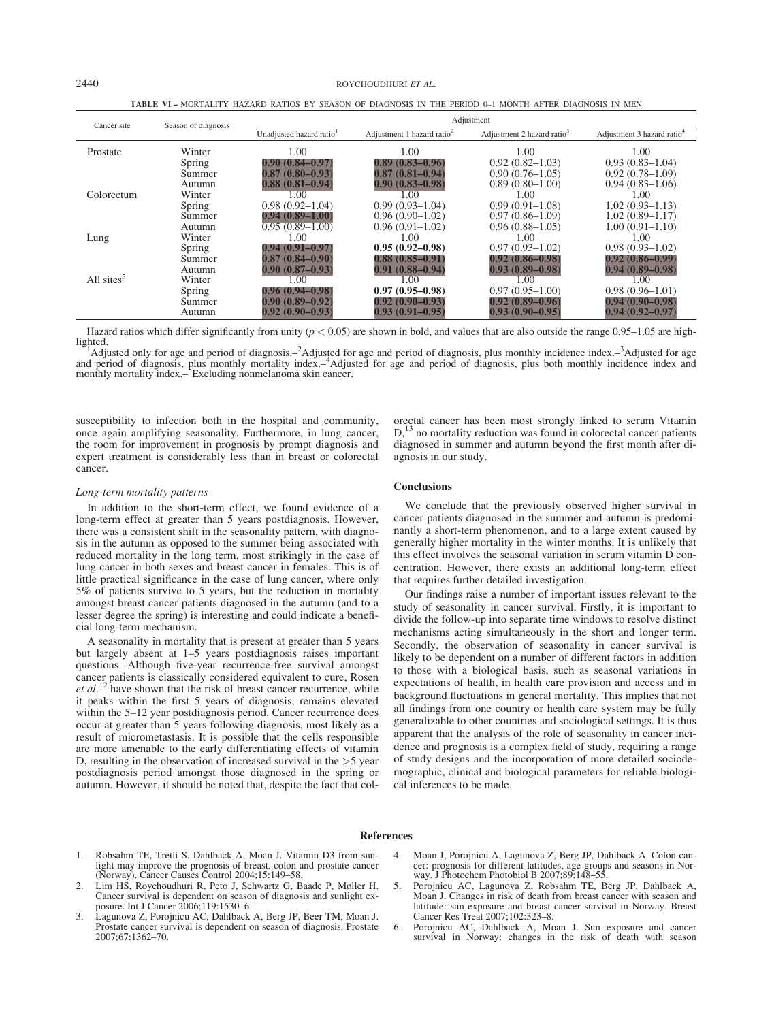TABLE VI – MORTALITY HAZARD RATIOS BY SEASON OF DIAGNOSIS IN THE PERIOD 0–1 MONTH AFTER DIAGNOSIS IN MEN

| Cancer site   | Season of diagnosis | Adjustment                           |                                        |                                        |                                        |  |  |  |
|---------------|---------------------|--------------------------------------|----------------------------------------|----------------------------------------|----------------------------------------|--|--|--|
|               |                     | Unadjusted hazard ratio <sup>1</sup> | Adjustment 1 hazard ratio <sup>2</sup> | Adjustment 2 hazard ratio <sup>3</sup> | Adjustment 3 hazard ratio <sup>4</sup> |  |  |  |
| Prostate      | Winter              | 1.00                                 | 1.00                                   | 1.00                                   | 1.00                                   |  |  |  |
|               | Spring              | $0.90(0.84 - 0.97)$                  | $0.89\ (0.83\text{--}0.96)$            | $0.92(0.82 - 1.03)$                    | $0.93(0.83 - 1.04)$                    |  |  |  |
|               | Summer              | $0.87(0.80 - 0.93)$                  | $0.87(0.81 - 0.94)$                    | $0.90(0.76 - 1.05)$                    | $0.92(0.78 - 1.09)$                    |  |  |  |
|               | Autumn              | $0.88(0.81 - 0.94)$                  | $0.90(0.83 - 0.98)$                    | $0.89(0.80-1.00)$                      | $0.94(0.83 - 1.06)$                    |  |  |  |
| Colorectum    | Winter              | 1.00                                 | 1.00                                   | 1.00                                   | 1.00                                   |  |  |  |
|               | Spring              | $0.98(0.92 - 1.04)$                  | $0.99(0.93 - 1.04)$                    | $0.99(0.91-1.08)$                      | $1.02(0.93 - 1.13)$                    |  |  |  |
|               | Summer              | $0.94\ (0.89\!\!-\!\!1.00)$          | $0.96(0.90-1.02)$                      | $0.97(0.86 - 1.09)$                    | $1.02(0.89 - 1.17)$                    |  |  |  |
|               | Autumn              | $0.95(0.89 - 1.00)$                  | $0.96(0.91-1.02)$                      | $0.96(0.88 - 1.05)$                    | $1.00(0.91 - 1.10)$                    |  |  |  |
| Lung          | Winter              | 1.00                                 | 1.00                                   | 1.00                                   | 1.00                                   |  |  |  |
|               | Spring              | $0.94\ (0.91\text{--}0.97)$          | $0.95(0.92 - 0.98)$                    | $0.97(0.93 - 1.02)$                    | $0.98(0.93 - 1.02)$                    |  |  |  |
|               | Summer              | $(0.84 - 0.90)$<br>0.87              | $0.88(0.85 - 0.91)$                    | $0.92(0.86 - 0.98)$                    | $0.92\ (0.86\text{--}0.99)$            |  |  |  |
|               | Autumn              | $0.90\ (0.87\text{--}0.93)$          | $0.91(0.88 - 0.94)$                    | $0.93(0.89 - 0.98)$                    | $0.94(0.89 - 0.98)$                    |  |  |  |
| All sites $5$ | Winter              | 1.00                                 | 1.00                                   | 1.00                                   | 1.00                                   |  |  |  |
|               | Spring              | $0.96(0.94 - 0.98)$                  | $0.97(0.95 - 0.98)$                    | $0.97(0.95-1.00)$                      | $0.98(0.96 - 1.01)$                    |  |  |  |
|               | Summer              | $0.90(0.89 - 0.92)$                  | $0.92(0.90 - 0.93)$                    | $0.92(0.89 - 0.96)$                    | $0.94(0.90 - 0.98)$                    |  |  |  |
|               | Autumn              | $0.92(0.90 - 0.93)$                  | $0.93(0.91 - 0.95)$                    | $0.93(0.90 - 0.95)$                    | $0.94(0.92 - 0.97)$                    |  |  |  |

Hazard ratios which differ significantly from unity ( $p < 0.05$ ) are shown in bold, and values that are also outside the range 0.95–1.05 are highlighted.

"Adjusted only for age and period of diagnosis.<sup>-2</sup>Adjusted for age and period of diagnosis, plus monthly incidence index.<sup>-3</sup>Adjusted for age and period of diagnosis, plus hoth monthly incidence index and period of diagno

susceptibility to infection both in the hospital and community, once again amplifying seasonality. Furthermore, in lung cancer, the room for improvement in prognosis by prompt diagnosis and expert treatment is considerably less than in breast or colorectal cancer.

orectal cancer has been most strongly linked to serum Vitamin D,<sup>13</sup> no mortality reduction was found in colorectal cancer patients diagnosed in summer and autumn beyond the first month after diagnosis in our study.

## Long-term mortality patterns

In addition to the short-term effect, we found evidence of a long-term effect at greater than 5 years postdiagnosis. However, there was a consistent shift in the seasonality pattern, with diagnosis in the autumn as opposed to the summer being associated with reduced mortality in the long term, most strikingly in the case of lung cancer in both sexes and breast cancer in females. This is of little practical significance in the case of lung cancer, where only 5% of patients survive to 5 years, but the reduction in mortality amongst breast cancer patients diagnosed in the autumn (and to a lesser degree the spring) is interesting and could indicate a beneficial long-term mechanism.

A seasonality in mortality that is present at greater than 5 years but largely absent at 1–5 years postdiagnosis raises important questions. Although five-year recurrence-free survival amongst cancer patients is classically considered equivalent to cure, Rosen  $et al.<sup>12</sup>$  have shown that the risk of breast cancer recurrence, while it peaks within the first 5 years of diagnosis, remains elevated within the 5–12 year postdiagnosis period. Cancer recurrence does occur at greater than 5 years following diagnosis, most likely as a result of micrometastasis. It is possible that the cells responsible are more amenable to the early differentiating effects of vitamin D, resulting in the observation of increased survival in the  $>5$  year postdiagnosis period amongst those diagnosed in the spring or autumn. However, it should be noted that, despite the fact that col-

## **Conclusions**

We conclude that the previously observed higher survival in cancer patients diagnosed in the summer and autumn is predominantly a short-term phenomenon, and to a large extent caused by generally higher mortality in the winter months. It is unlikely that this effect involves the seasonal variation in serum vitamin D concentration. However, there exists an additional long-term effect that requires further detailed investigation.

Our findings raise a number of important issues relevant to the study of seasonality in cancer survival. Firstly, it is important to divide the follow-up into separate time windows to resolve distinct mechanisms acting simultaneously in the short and longer term. Secondly, the observation of seasonality in cancer survival is likely to be dependent on a number of different factors in addition to those with a biological basis, such as seasonal variations in expectations of health, in health care provision and access and in background fluctuations in general mortality. This implies that not all findings from one country or health care system may be fully generalizable to other countries and sociological settings. It is thus apparent that the analysis of the role of seasonality in cancer incidence and prognosis is a complex field of study, requiring a range of study designs and the incorporation of more detailed sociodemographic, clinical and biological parameters for reliable biological inferences to be made.

#### References

- 1. Robsahm TE, Tretli S, Dahlback A, Moan J. Vitamin D3 from sunlight may improve the prognosis of breast, colon and prostate cancer (Norway). Cancer Causes Control 2004;15:149–58.
- 2. Lim HS, Roychoudhuri R, Peto J, Schwartz G, Baade P, Møller H. Cancer survival is dependent on season of diagnosis and sunlight exposure. Int J Cancer 2006;119:1530–6.
- 3. Lagunova Z, Porojnicu AC, Dahlback A, Berg JP, Beer TM, Moan J. Prostate cancer survival is dependent on season of diagnosis. Prostate 2007;67:1362–70.
- 4. Moan J, Porojnicu A, Lagunova Z, Berg JP, Dahlback A. Colon cancer: prognosis for different latitudes, age groups and seasons in Nor-way. J Photochem Photobiol B 2007;89:148–55.
- 5. Porojnicu AC, Lagunova Z, Robsahm TE, Berg JP, Dahlback A, Moan J. Changes in risk of death from breast cancer with season and latitude: sun exposure and breast cancer survival in Norway. Breast Cancer Res Treat 2007;102:323–8.
- 6. Porojnicu AC, Dahlback A, Moan J. Sun exposure and cancer survival in Norway: changes in the risk of death with season